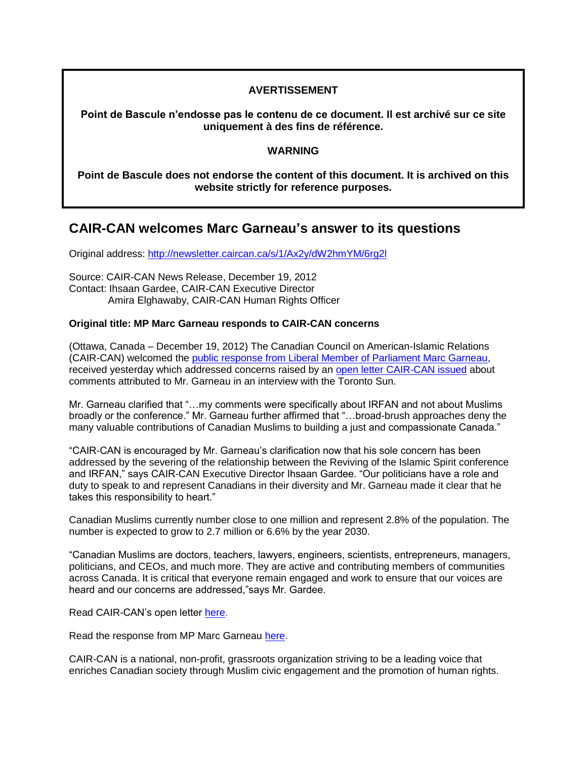### **AVERTISSEMENT**

**Point de Bascule n'endosse pas le contenu de ce document. Il est archivé sur ce site uniquement à des fins de référence.**

#### **WARNING**

**Point de Bascule does not endorse the content of this document. It is archived on this website strictly for reference purposes.**

## **CAIR-CAN welcomes Marc Garneau's answer to its questions**

Original address:<http://newsletter.caircan.ca/s/1/Ax2y/dW2hmYM/6rg2l>

Source: CAIR-CAN News Release, December 19, 2012 Contact: Ihsaan Gardee, CAIR-CAN Executive Director Amira Elghawaby, CAIR-CAN Human Rights Officer

#### **Original title: MP Marc Garneau responds to CAIR-CAN concerns**

(Ottawa, Canada – December 19, 2012) The Canadian Council on American-Islamic Relations (CAIR-CAN) welcomed the [public response from Liberal Member of Parliament Marc Garneau,](http://marcgarneau.ca/in-response-to-the-letter-from-cair-can/?utm_source=streamsend&utm_medium=email&utm_content=17656767&utm_campaign=News%2520Release%253A%2520MP%2520Marc%2520Garneau%2520responds%2520to%2520CAIR-CAN%2520concerns) received yesterday which addressed concerns raised by an [open letter CAIR-CAN issued](http://caircan.ca/downloads/18-12-12_CAIRCAN_Letter_to_Marc_Garneau-signed.pdf?utm_source=streamsend&utm_medium=email&utm_content=17656767&utm_campaign=News%2520Release%253A%2520MP%2520Marc%2520Garneau%2520responds%2520to%2520CAIR-CAN%2520concerns) about comments attributed to Mr. Garneau in an interview with the Toronto Sun.

Mr. Garneau clarified that "…my comments were specifically about IRFAN and not about Muslims broadly or the conference." Mr. Garneau further affirmed that "…broad-brush approaches deny the many valuable contributions of Canadian Muslims to building a just and compassionate Canada."

"CAIR-CAN is encouraged by Mr. Garneau's clarification now that his sole concern has been addressed by the severing of the relationship between the Reviving of the Islamic Spirit conference and IRFAN," says CAIR-CAN Executive Director Ihsaan Gardee. "Our politicians have a role and duty to speak to and represent Canadians in their diversity and Mr. Garneau made it clear that he takes this responsibility to heart."

Canadian Muslims currently number close to one million and represent 2.8% of the population. The number is expected to grow to 2.7 million or 6.6% by the year 2030.

"Canadian Muslims are doctors, teachers, lawyers, engineers, scientists, entrepreneurs, managers, politicians, and CEOs, and much more. They are active and contributing members of communities across Canada. It is critical that everyone remain engaged and work to ensure that our voices are heard and our concerns are addressed,"says Mr. Gardee.

Read CAIR-CAN's open letter [here.](http://caircan.ca/downloads/18-12-12_CAIRCAN_Letter_to_Marc_Garneau-signed.pdf?utm_source=streamsend&utm_medium=email&utm_content=17656767&utm_campaign=News%2520Release%253A%2520MP%2520Marc%2520Garneau%2520responds%2520to%2520CAIR-CAN%2520concerns)

Read the response from MP Marc Garneau [here.](http://marcgarneau.ca/in-response-to-the-letter-from-cair-can/?utm_source=streamsend&utm_medium=email&utm_content=17656767&utm_campaign=News%2520Release%253A%2520MP%2520Marc%2520Garneau%2520responds%2520to%2520CAIR-CAN%2520concerns)

CAIR-CAN is a national, non-profit, grassroots organization striving to be a leading voice that enriches Canadian society through Muslim civic engagement and the promotion of human rights.